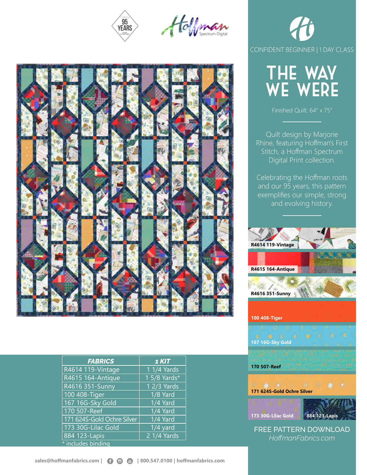





| <b>FABRICS</b>             | $1$ $KIT$    |
|----------------------------|--------------|
| R4614 119-Vintage          | 1 1/4 Yards  |
| R4615 164-Antique          | 1 5/8 Yards* |
| R4616 351-Sunny            | 1 2/3 Yards  |
| 100 408-Tiger              | 1/8 Yard     |
| 167 16G-Sky Gold           | 1/4 Yard     |
| 170 507-Reef               | 1/4 Yard     |
| 171 624S-Gold Ochre Silver | 1/4 Yard     |
| 173 30G-Lilac Gold         | $1/4$ yard   |
| 884 123-Lapis              | 2 1/4 Yards  |
| * includes binding         |              |





CONFIDENT BEGINNER | 1 DAY CLASS

Finished Quilt: 64" x 75"

Quilt design by Marjorie Rhine, featuring Hoffman's First Stitch, a Hoffman Spectrum

FREE PATTERN DOWNLOAD *HoffmanFabrics.com*

**173 30G-Lilac Gold 884 123-Lapis**

**171 624S-Gold Ochre Silver**

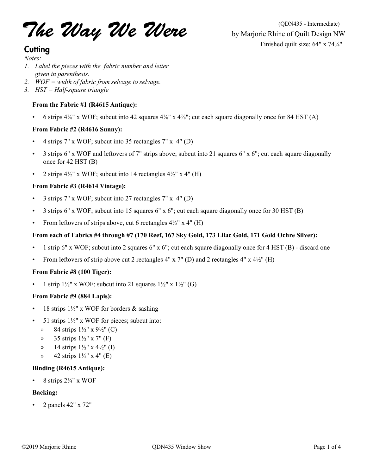The Way We Were by Marjorie Rhine of Quilt Design N'

### **Cutting**

*Notes:*

- *1. Label the pieces with the fabric number and letter given in parenthesis.*
- *2. WOF = width of fabric from selvage to selvage.*
- *3. HST = Half-square triangle*

#### **From the Fabric #1 (R4615 Antique):**

• 6 strips 4⅞" x WOF; subcut into 42 squares 4⅞" x 4⅞"; cut each square diagonally once for 84 HST (A)

#### **From Fabric #2 (R4616 Sunny):**

- 4 strips 7" x WOF; subcut into 35 rectangles 7" x 4" (D)
- 3 strips 6" x WOF and leftovers of 7" strips above; subcut into 21 squares 6" x 6"; cut each square diagonally once for 42 HST (B)
- 2 strips  $4\frac{1}{2}$ " x WOF; subcut into 14 rectangles  $4\frac{1}{2}$ " x 4" (H)

#### **From Fabric #3 (R4614 Vintage):**

- 3 strips 7" x WOF; subcut into 27 rectangles 7" x 4" (D)
- 3 strips 6" x WOF; subcut into 15 squares 6" x 6"; cut each square diagonally once for 30 HST (B)
- From leftovers of strips above, cut 6 rectangles  $4\frac{1}{2}$ " x  $4$ " (H)

#### **From each of Fabrics #4 through #7 (170 Reef, 167 Sky Gold, 173 Lilac Gold, 171 Gold Ochre Silver):**

- 1 strip 6" x WOF; subcut into 2 squares 6" x 6"; cut each square diagonally once for 4 HST (B) discard one
- From leftovers of strip above cut 2 rectangles  $4"$  x  $7"$  (D) and 2 rectangles  $4"$  x  $4½"$  (H)

#### **From Fabric #8 (100 Tiger):**

1 strip  $1\frac{1}{2}$ " x WOF; subcut into 21 squares  $1\frac{1}{2}$ " x  $1\frac{1}{2}$ " (G)

#### **From Fabric #9 (884 Lapis):**

- 18 strips  $1\frac{1}{2}$ " x WOF for borders & sashing
- 51 strips  $1\frac{1}{2}$ " x WOF for pieces; subcut into:
	- » 84 strips 1½" x 9½" (C)
	- » 35 strips 1½" x 7" (F)
	- » 14 strips  $1\frac{1}{2}$ " x  $4\frac{1}{2}$ " (I)
	- » 42 strips  $1\frac{1}{2}$ " x 4" (E)

#### **Binding (R4615 Antique):**

8 strips  $2\frac{1}{4}$ " x WOF

#### **Backing:**

• 2 panels 42" x 72"

by Marjorie Rhine of Quilt Design NW Finished quilt size: 64" x 74¾"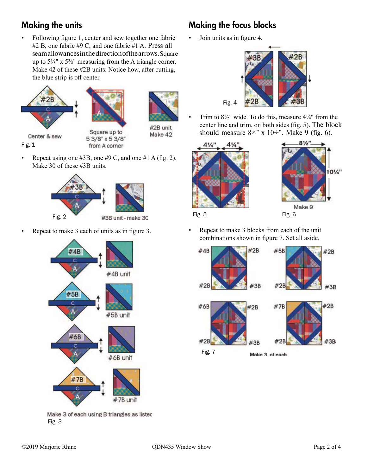### Making the units

• Following figure 1, center and sew together one fabric #2 B, one fabric #9 C, and one fabric #1 A. Press all seam allowances in the direction of the arrows. Square up to 5⅜" x 5⅜" measuring from the A triangle corner. Make 42 of these #2B units. Notice how, after cutting, the blue strip is off center.





Center & sew Fig. 1

Square up to 53/8" x 53/8" from A corner



Repeat using one  $#3B$ , one  $#9C$ , and one  $#1A$  (fig. 2). Make 30 of these #3B units.



• Repeat to make 3 each of units as in figure 3.



Make 3 of each using B triangles as listec Fig. 3

# Making the focus blocks

• Join units as in figure 4.



Trim to  $8\frac{1}{2}$ " wide. To do this, measure  $4\frac{1}{4}$ " from the center line and trim, on both sides (fig. 5). The block should measure  $8 \times$ " x 10÷". Make 9 (fig. 6).





Fig. 5 Fig. 6

• Repeat to make 3 blocks from each of the unit combinations shown in figure 7. Set all aside.

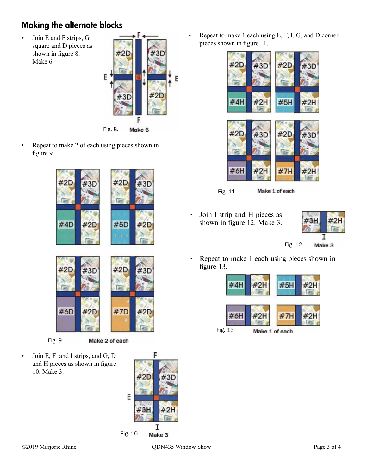# Making the alternate blocks

• Join E and F strips, G square and D pieces as shown in figure 8. Make 6.



Fig. 8. Make 6

• Repeat to make 2 of each using pieces shown in figure 9.



Fig. 9

Make 2 of each

• Join E, F and I strips, and G, D and H pieces as shown in figure 10. Make 3.



• Repeat to make 1 each using E, F, I, G, and D corner pieces shown in figure 11.



Fig. 11

- Make 1 of each
- Join I strip and H pieces as shown in figure 12. Make 3.



Fig. 12 Make 3

• Repeat to make 1 each using pieces shown in figure 13.